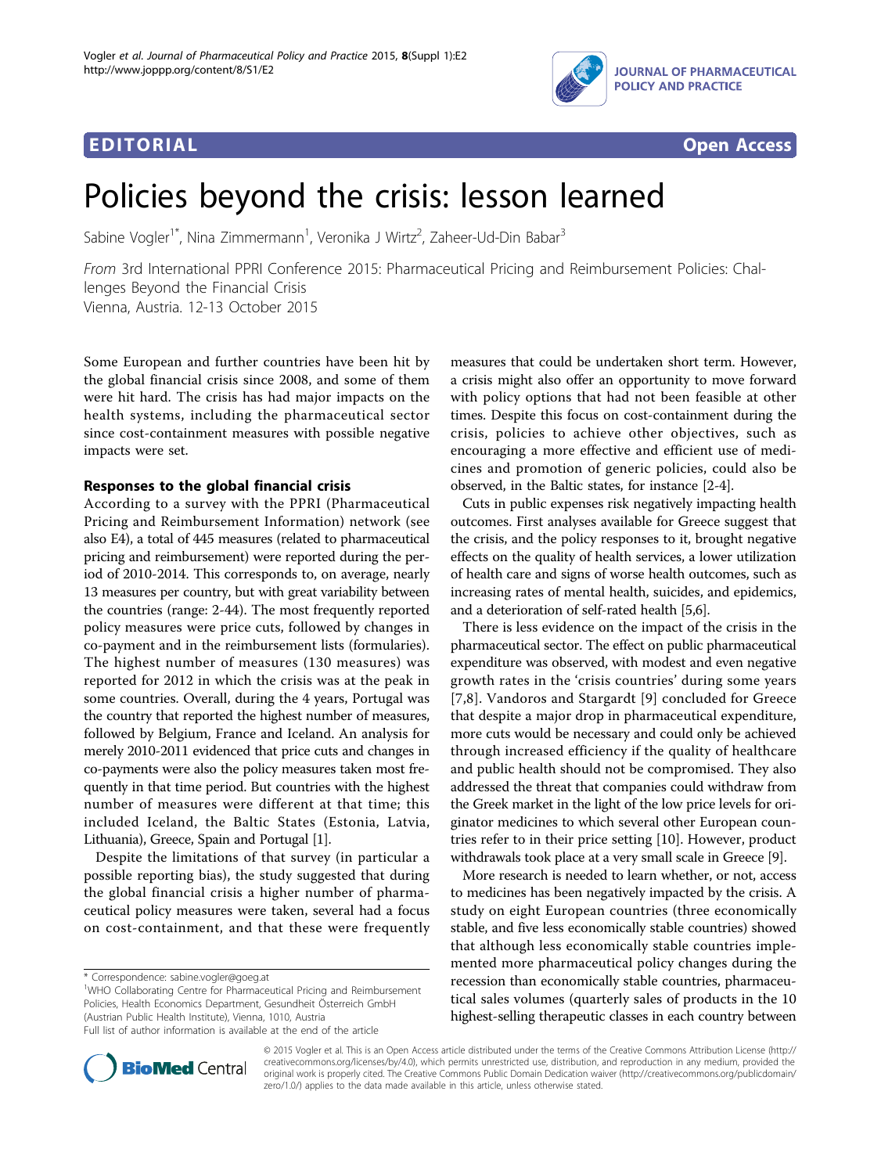



# Policies beyond the crisis: lesson learned

Sabine Vogler<sup>1\*</sup>, Nina Zimmermann<sup>1</sup>, Veronika J Wirtz<sup>2</sup>, Zaheer-Ud-Din Babar<sup>3</sup>

From 3rd International PPRI Conference 2015: Pharmaceutical Pricing and Reimbursement Policies: Challenges Beyond the Financial Crisis Vienna, Austria. 12-13 October 2015

Some European and further countries have been hit by the global financial crisis since 2008, and some of them were hit hard. The crisis has had major impacts on the health systems, including the pharmaceutical sector since cost-containment measures with possible negative impacts were set.

According to a survey with the PPRI (Pharmaceutical Pricing and Reimbursement Information) network (see also E4), a total of 445 measures (related to pharmaceutical pricing and reimbursement) were reported during the period of 2010-2014. This corresponds to, on average, nearly 13 measures per country, but with great variability between the countries (range: 2-44). The most frequently reported policy measures were price cuts, followed by changes in co-payment and in the reimbursement lists (formularies). The highest number of measures (130 measures) was reported for 2012 in which the crisis was at the peak in some countries. Overall, during the 4 years, Portugal was the country that reported the highest number of measures, followed by Belgium, France and Iceland. An analysis for merely 2010-2011 evidenced that price cuts and changes in co-payments were also the policy measures taken most frequently in that time period. But countries with the highest number of measures were different at that time; this included Iceland, the Baltic States (Estonia, Latvia, Lithuania), Greece, Spain and Portugal [\[1](#page-1-0)].

Despite the limitations of that survey (in particular a possible reporting bias), the study suggested that during the global financial crisis a higher number of pharmaceutical policy measures were taken, several had a focus on cost-containment, and that these were frequently

\* Correspondence: [sabine.vogler@goeg.at](mailto:sabine.vogler@goeg.at)

<sup>1</sup>WHO Collaborating Centre for Pharmaceutical Pricing and Reimbursement Policies, Health Economics Department, Gesundheit Österreich GmbH (Austrian Public Health Institute), Vienna, 1010, Austria

Full list of author information is available at the end of the article

measures that could be undertaken short term. However, a crisis might also offer an opportunity to move forward with policy options that had not been feasible at other times. Despite this focus on cost-containment during the crisis, policies to achieve other objectives, such as encouraging a more effective and efficient use of medicines and promotion of generic policies, could also be observed, in the Baltic states, for instance [\[2-4](#page-1-0)].

Cuts in public expenses risk negatively impacting health outcomes. First analyses available for Greece suggest that the crisis, and the policy responses to it, brought negative effects on the quality of health services, a lower utilization of health care and signs of worse health outcomes, such as increasing rates of mental health, suicides, and epidemics, and a deterioration of self-rated health [\[5,6](#page-1-0)].

There is less evidence on the impact of the crisis in the pharmaceutical sector. The effect on public pharmaceutical expenditure was observed, with modest and even negative growth rates in the 'crisis countries' during some years [[7,8\]](#page-1-0). Vandoros and Stargardt [\[9\]](#page-1-0) concluded for Greece that despite a major drop in pharmaceutical expenditure, more cuts would be necessary and could only be achieved through increased efficiency if the quality of healthcare and public health should not be compromised. They also addressed the threat that companies could withdraw from the Greek market in the light of the low price levels for originator medicines to which several other European countries refer to in their price setting [[10\]](#page-1-0). However, product withdrawals took place at a very small scale in Greece [\[9\]](#page-1-0).

More research is needed to learn whether, or not, access to medicines has been negatively impacted by the crisis. A study on eight European countries (three economically stable, and five less economically stable countries) showed that although less economically stable countries implemented more pharmaceutical policy changes during the recession than economically stable countries, pharmaceutical sales volumes (quarterly sales of products in the 10 highest-selling therapeutic classes in each country between



© 2015 Vogler et al. This is an Open Access article distributed under the terms of the Creative Commons Attribution License [\(http://](http://creativecommons.org/licenses/by/4.0) [creativecommons.org/licenses/by/4.0](http://creativecommons.org/licenses/by/4.0)), which permits unrestricted use, distribution, and reproduction in any medium, provided the original work is properly cited. The Creative Commons Public Domain Dedication waiver ([http://creativecommons.org/publicdomain/](http://creativecommons.org/publicdomain/zero/1.0/) [zero/1.0/](http://creativecommons.org/publicdomain/zero/1.0/)) applies to the data made available in this article, unless otherwise stated.